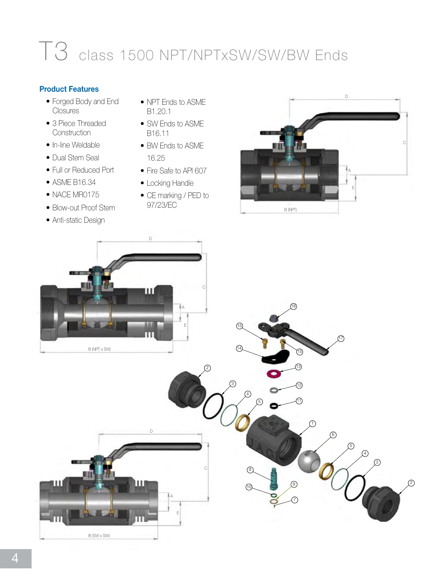## T3 class 1500 NPT/NPTxSW/SW/BW Ends

## **Product Features**

- Forged Body and End **Closures**
- 3 Piece Threaded **Construction**
- In-line Weldable
- Dual Stem Seal
- Full or Reduced Port •
- ASME B16.34 •
- NACE MR0175
- Blow-out Proof Stem •
- Anti-static Design
- NPT Ends to ASME B1.20.1
- SW Ends to ASME B16.11
- BW Ends to ASME 16.25
- Fire Safe to API 607
- Locking Handle
- CE marking / PED to 97/23/EC



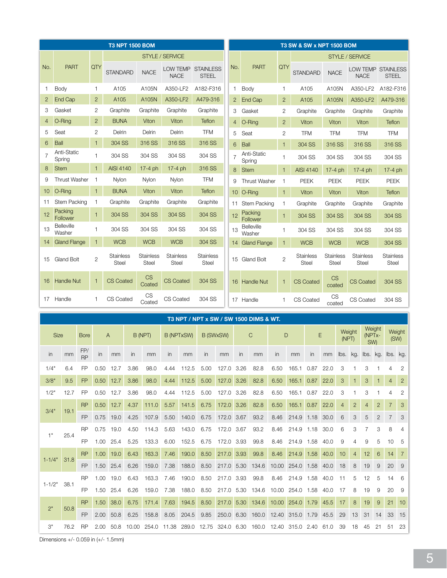|                |                                     |                        |                |                           |               | <b>T3 NPT 1500 BOM</b>                                        |                           |        |                                                   |            |                 |                     |                       |              |                |                 | <b>T3 SW &amp; SW x NPT 1500 BOM</b> |                           |                          |                                 |                                  |                             |                                           |                   |  |
|----------------|-------------------------------------|------------------------|----------------|---------------------------|---------------|---------------------------------------------------------------|---------------------------|--------|---------------------------------------------------|------------|-----------------|---------------------|-----------------------|--------------|----------------|-----------------|--------------------------------------|---------------------------|--------------------------|---------------------------------|----------------------------------|-----------------------------|-------------------------------------------|-------------------|--|
|                |                                     |                        |                |                           |               |                                                               | <b>STYLE / SERVICE</b>    |        |                                                   |            |                 |                     |                       |              |                |                 |                                      |                           | <b>STYLE / SERVICE</b>   |                                 |                                  |                             |                                           |                   |  |
| No.            | <b>PART</b>                         |                        | QTY            | <b>STANDARD</b>           |               | <b>NACE</b>                                                   | LOW TEMP<br><b>NACE</b>   |        | <b>STAINLESS</b><br><b>STEEL</b>                  |            | No.             |                     | <b>PART</b>           |              | QTY            | <b>STANDARD</b> |                                      | <b>NACE</b>               |                          | <b>NACE</b>                     |                                  |                             | <b>LOW TEMP STAINLESS</b><br><b>STEEL</b> |                   |  |
| 1              | Body                                |                        | $\mathbf{1}$   | A <sub>105</sub>          |               | A105N                                                         | A350-LF2                  |        | A182-F316                                         |            | 1               | Body                |                       |              | 1              |                 | A <sub>105</sub>                     | A105N                     |                          |                                 | A350-LF2                         |                             | A182-F316                                 |                   |  |
| $\overline{2}$ | End Cap                             |                        | $\overline{2}$ | A <sub>105</sub>          |               | A105N                                                         | A350-LF2                  |        | A479-316                                          |            | $\mathbf{2}$    |                     | <b>End Cap</b>        |              | $\overline{2}$ |                 | A105                                 |                           | A105N                    |                                 | A350-LF2                         |                             | A479-316                                  |                   |  |
| 3              | Gasket                              |                        | $\overline{2}$ | Graphite                  |               | Graphite                                                      | Graphite                  |        | Graphite                                          |            | 3               |                     | Gasket                |              | $\overline{2}$ |                 | Graphite                             | Graphite                  |                          |                                 | Graphite                         |                             | Graphite                                  |                   |  |
| 4              | O-Ring                              |                        | $\overline{2}$ | <b>BUNA</b>               |               | Viton                                                         | Viton                     |        | <b>Teflon</b>                                     |            | $\overline{4}$  |                     | O-Ring                |              | $\overline{2}$ |                 | Viton                                | Viton                     |                          |                                 | Viton                            |                             | <b>Teflon</b>                             |                   |  |
| 5              | Seat                                |                        | $\overline{2}$ | Delrin                    |               | Delrin                                                        | Delrin                    |        | <b>TFM</b>                                        |            | 5               | Seat                |                       |              | $\overline{2}$ |                 | <b>TFM</b>                           | <b>TFM</b>                |                          |                                 | <b>TFM</b>                       |                             | <b>TFM</b>                                |                   |  |
| 6              | <b>Ball</b>                         |                        | $\mathbf{1}$   | 304 SS                    |               | 316 SS                                                        | 316 SS                    |        | 316 SS                                            |            | 6               | <b>Ball</b>         |                       |              | $\mathbf{1}$   |                 | 304 SS                               | 316 SS                    |                          |                                 | 316 SS                           |                             | 316 SS                                    |                   |  |
| $\overline{7}$ | Anti-Static<br>Spring               |                        | $\mathbf{1}$   | 304 SS                    |               | 304 SS                                                        | 304 SS                    |        | 304 SS                                            |            | $\overline{7}$  |                     | Anti-Static<br>Spring |              | 1              |                 | 304 SS                               | 304 SS                    |                          |                                 | 304 SS                           |                             | 304 SS                                    |                   |  |
| 8              | <b>Stem</b>                         |                        | $\overline{1}$ | <b>AISI 4140</b>          |               | $17-4$ ph                                                     | $17-4$ ph                 |        | 316 SS                                            |            | 8               | <b>Stem</b>         |                       |              | 1              |                 | <b>AISI 4140</b>                     | $17-4$ ph                 |                          |                                 | $17-4$ ph                        |                             | $17-4$ ph                                 |                   |  |
| 9              | <b>Thrust Washer</b>                |                        | $\mathbf{1}$   | Nylon                     |               | Nylon                                                         | Nylon                     |        | <b>TFM</b>                                        |            | 9               |                     | <b>Thrust Washer</b>  |              | $\mathbf{1}$   | <b>PEEK</b>     |                                      | <b>PEEK</b>               |                          | <b>PEEK</b>                     |                                  |                             | <b>PEEK</b>                               |                   |  |
| 10             | O-Ring                              | $\mathbf{1}$           |                | <b>BUNA</b>               |               | Viton                                                         | Viton                     |        | <b>Teflon</b>                                     |            | 10 <sup>°</sup> |                     | O-Ring                |              | -1             | Viton           |                                      | Viton                     |                          | Viton                           |                                  |                             | Teflon                                    |                   |  |
| 11             | <b>Stem Packing</b><br>$\mathbf{1}$ |                        |                | Graphite                  |               | Graphite                                                      | Graphite                  |        | Graphite                                          |            | 11              |                     | <b>Stem Packing</b>   |              | $\mathbf{1}$   | Graphite        |                                      | Graphite                  |                          | Graphite                        |                                  |                             | Graphite                                  |                   |  |
| 12             | Packing<br>Follower                 | $\mathbf{1}$<br>304 SS |                |                           | 304 SS        | 304 SS                                                        |                           | 304 SS |                                                   | 12         |                 | Packing<br>Follower |                       | $\mathbf{1}$ | 304 SS         |                 |                                      | 304 SS                    |                          | 304 SS                          |                                  | 304 SS                      |                                           |                   |  |
| 13             | <b>Belleville</b><br>Washer         |                        | $\mathbf{1}$   | 304 SS                    |               | 304 SS                                                        | 304 SS                    |        | 304 SS                                            |            | 13              |                     | Belleville<br>Washer  | 1            |                |                 | 304 SS                               |                           | 304 SS                   |                                 | 304 SS                           |                             | 304 SS                                    |                   |  |
| 14             | <b>Gland Flange</b>                 |                        | $\mathbf{1}$   | <b>WCB</b>                |               | <b>WCB</b>                                                    | <b>WCB</b>                |        | 304 SS                                            |            | 14              |                     | <b>Gland Flange</b>   |              | -1             |                 | <b>WCB</b>                           | <b>WCB</b>                |                          |                                 | <b>WCB</b>                       |                             | 304 SS                                    |                   |  |
| 15             | Gland Bolt                          |                        | $\mathbf{2}$   | <b>Stainless</b><br>Steel |               | <b>Stainless</b><br>Steel                                     | <b>Stainless</b><br>Steel |        | <b>Stainless</b><br>Steel                         |            |                 |                     | 15 Gland Bolt         |              | $\mathbf{2}$   |                 | <b>Stainless</b><br>Steel            | <b>Stainless</b><br>Steel |                          |                                 | <b>Stainless</b><br><b>Steel</b> |                             | <b>Stainless</b><br>Steel                 |                   |  |
| 16             | <b>Handle Nut</b>                   |                        | $\mathbf{1}$   | <b>CS Coated</b>          |               | <b>CS</b><br>Coated                                           | <b>CS Coated</b>          |        | 304 SS                                            |            | 16              |                     | <b>Handle Nut</b>     |              | 1              |                 | <b>CS Coated</b>                     | <b>CS</b><br>coated       |                          |                                 | <b>CS Coated</b>                 |                             | 304 SS                                    |                   |  |
| 17             | Handle                              |                        | $\mathbf{1}$   | CS Coated                 |               | <b>CS</b><br>Coated                                           | CS Coated                 |        | 304 SS                                            |            |                 | 17 Handle           |                       |              | 1              |                 | CS Coated                            | <b>CS</b><br>coated       |                          |                                 | CS Coated                        |                             | 304 SS                                    |                   |  |
|                |                                     |                        |                |                           |               |                                                               |                           |        | <b>T3 NPT / NPT x SW / SW 1500 DIMS &amp; WT.</b> |            |                 |                     |                       |              |                |                 |                                      |                           |                          |                                 |                                  |                             |                                           |                   |  |
|                | <b>Size</b>                         | <b>Bore</b>            |                | A                         |               | B (NPT)                                                       | <b>B (NPTxSW)</b>         |        | B (SWxSW)                                         |            | C               |                     |                       | D            |                |                 | Ε                                    |                           | Weight<br>(NPT)          | Weight<br>(NPTx-<br>SW)         |                                  | Weight<br>(SW)              |                                           |                   |  |
| $\mathsf{in}$  | mm                                  | FP/<br><b>RP</b>       | in             | mm                        | $\mathsf{in}$ | mm                                                            | in                        | mm     | in.                                               | mm         |                 | <i>in</i>           | mm                    | in           |                | mm              | in                                   | mm                        | $\mathsf{I}\mathsf{bs}.$ | kg.                             | Ibs. kg.                         |                             | Ibs. kg.                                  |                   |  |
| 1/4"           | 6.4                                 | FP                     |                | 0.50 12.7 3.86            |               | 98.0                                                          | 4.44                      |        | 112.5 5.00 127.0 3.26                             |            |                 |                     | 82.8                  | 6.50         |                |                 | 165.1 0.87 22.0                      |                           | 3                        | 1                               | 3                                | $\mathbf{1}$                | 4                                         | 2                 |  |
| 3/8"           | 9.5                                 | FP                     |                | $0.50$ 12.7               | 3.86          | 98.0                                                          | 4.44                      | 112.5  | 5.00                                              | 127.0 3.26 |                 |                     | 82.8                  | 6.50         |                |                 | 165.1 0.87                           | 22.0                      | 3                        | 1                               | 3                                | 1                           | 4                                         | $\mathbf{2}$      |  |
| 1/2"           | 12.7                                | FP                     |                | $0.50$ 12.7               | 3.86          | 98.0                                                          | 4.44                      | 112.5  | 5.00                                              |            |                 | 127.0 3.26          | 82.8                  | 6.50         |                |                 | 165.1 0.87 22.0                      |                           | 3                        | 1                               | 3                                | 1                           | 4                                         | 2                 |  |
|                |                                     |                        |                |                           |               |                                                               |                           |        |                                                   |            |                 |                     |                       |              |                |                 |                                      |                           |                          |                                 |                                  |                             |                                           |                   |  |
| 3/4"           | 19.1                                | <b>RP</b><br>FP        |                | $0.50$ 12.7               | 4.37          | 111.0<br>0.75 19.0 4.25 107.9 5.50 140.0 6.75 172.0 3.67 93.2 | 5.57                      | 141.5  | 6.75                                              | 172.0 3.26 |                 |                     | 82.8                  | 6.50         |                |                 | 165.1 0.87<br>8.46 214.9 1.18 30.0   | 22.0                      | $\overline{4}$<br>6      | $\overline{c}$<br>$\mathcal{S}$ | 4<br>5                           | $\mathbf{2}$<br>$2^{\circ}$ | $\overline{7}$<br>$\overline{7}$          | 3<br>$\mathbf{3}$ |  |

|                 | 25.4 | RP.  | 0.75 19.0 4.50    |                |                  | 114.3                                                             | 5.63 | 143.0 6.75 172.0 3.67 |      |                       | 93.2                                                      | 8.46 214.9 1.18 30.0 6 |      |      |         |                | $3 \quad 7 \quad 3$ |             |             |                                                           |
|-----------------|------|------|-------------------|----------------|------------------|-------------------------------------------------------------------|------|-----------------------|------|-----------------------|-----------------------------------------------------------|------------------------|------|------|---------|----------------|---------------------|-------------|-------------|-----------------------------------------------------------|
|                 |      | FP.  |                   | 1.00 25.4      | 5.25             | 133.3                                                             | 6.00 | 152.5                 | 6.75 | 172.0 3.93            | 99.8                                                      | 8.46 214.9             | 1.58 | 40.0 | -9      | 4              | -9                  | $5 -$       |             |                                                           |
| $1 - 1/4"$      | 31.8 | RP   |                   | $1.00$ 19.0    | 6.43             | 163.3                                                             | 7.46 | 190.0 8.50 217.0 3.93 |      |                       | 99.8                                                      | 8.46 214.9 1.58        |      | 40.0 | $-10$ . | $\overline{4}$ | 12                  | $6^{\circ}$ |             |                                                           |
|                 |      |      | FP 1.50 25.4 6.26 |                |                  | 159.0                                                             | 7.38 |                       |      |                       | 188.0 8.50 217.0 5.30 134.6 10.00 254.0 1.58 40.0 18      |                        |      |      |         |                |                     |             | 8 19 9 20 9 |                                                           |
|                 |      | RP . | 1.00 19.0 6.43    |                |                  | 163.3                                                             | 7.46 |                       |      | 190.0 8.50 217.0 3.93 | 99.8 8.46 214.9 1.58 40.0 11                              |                        |      |      |         |                |                     |             | 5 12 5 14 6 | 84<br>10 5<br>$14 \overline{7}$<br>$21 \quad 10$<br>33 15 |
| $1 - 1/2"$ 38.1 |      | FP.  |                   | 1.50 25.4      | 6.26             | 159.0                                                             | 7.38 | 188.0                 |      |                       | 8.50 217.0 5.30 134.6 10.00 254.0 1.58 40.0 17            |                        |      |      |         |                |                     |             | 8 19 9 20 9 |                                                           |
| 2"              | 50.8 | RP   |                   |                | $1.50$ 38.0 6.75 | 171.4                                                             |      |                       |      |                       | 7.63 194.5 8.50 217.0 5.30 134.6 10.00 254.0 1.79 45.5 17 |                        |      |      |         | $-8$           | 19                  | -9          |             |                                                           |
|                 |      | FP.  |                   | 2.00 50.8 6.25 |                  | 158.8                                                             | 8.05 |                       |      |                       | 204.5 9.85 250.0 6.30 160.0 12.40 315.0 1.79 45.5 29      |                        |      |      |         | 13 31          |                     | 14          |             |                                                           |
| 3"              | 76.2 | RP.  | 2.00              | 50.8           | 10.00            | 254.0 11.38 289.0 12.75 324.0 6.30 160.0 12.40 315.0 2.40 61.0 39 |      |                       |      |                       |                                                           |                        |      |      |         | 18             | 45                  |             | 21 51 23    |                                                           |

Dimensions +/- 0.059 in (+/- 1.5mm)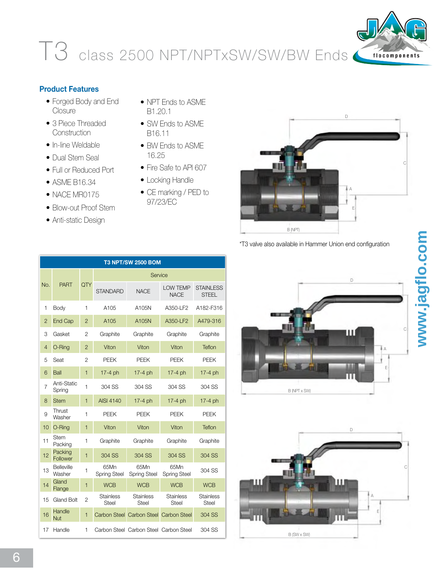## T3 class 2500 NPT/NPTxSW/SW/BW Ends



## **Product Features**

- Forged Body and End **Closure**
- 3 Piece Threaded **Construction**
- In-line Weldable
- Dual Stem Seal
- Full or Reduced Port •
- ASME B16.34 •
- NACE MR0175
- Blow-out Proof Stem •
- Anti-static Design
- NPT Ends to ASME B1.20.1
- SW Ends to ASME B16.11
- BW Ends to ASME 16.25
- Fire Safe to API 607
- Locking Handle
- CE marking / PED to 97/23/EC



\*T3 valve also available in Hammer Union end configuration

|                | T3 NPT/SW 2500 BOM          |                |                             |                                        |                                |                                  |  |  |  |  |  |  |  |  |
|----------------|-----------------------------|----------------|-----------------------------|----------------------------------------|--------------------------------|----------------------------------|--|--|--|--|--|--|--|--|
|                |                             |                | Service                     |                                        |                                |                                  |  |  |  |  |  |  |  |  |
| No.            | <b>PART</b>                 | QTY            | <b>STANDARD</b>             | <b>NACE</b>                            | <b>LOW TEMP</b><br><b>NACE</b> | <b>STAINLESS</b><br><b>STEEL</b> |  |  |  |  |  |  |  |  |
| 1              | Body                        | 1              | A105                        | A105N                                  | A350-LF2                       | A182-F316                        |  |  |  |  |  |  |  |  |
| $\overline{2}$ | End Cap                     | $\overline{2}$ | A105                        | A105N                                  | A350-LF2                       | A479-316                         |  |  |  |  |  |  |  |  |
| 3              | Gasket                      | $\overline{2}$ | Graphite                    | Graphite                               | Graphite                       | Graphite                         |  |  |  |  |  |  |  |  |
| $\overline{4}$ | O-Ring                      | $\overline{2}$ | Viton                       | Viton                                  | Viton                          | Teflon                           |  |  |  |  |  |  |  |  |
| 5              | Seat                        | $\overline{2}$ | <b>PEEK</b>                 | <b>PEEK</b>                            | <b>PEEK</b>                    | <b>PEEK</b>                      |  |  |  |  |  |  |  |  |
| 6              | Ball                        | $\mathbf{1}$   | 17-4 ph                     | 17-4 ph                                | 17-4 ph                        | $17-4$ ph                        |  |  |  |  |  |  |  |  |
| $\overline{7}$ | Anti-Static<br>Spring       | 1              | 304 SS                      | 304 SS                                 | 304 SS                         | 304 SS                           |  |  |  |  |  |  |  |  |
| 8              | <b>Stem</b>                 | 1              | <b>AISI 4140</b>            | 17-4 ph                                | $17-4$ ph                      | $17-4$ ph                        |  |  |  |  |  |  |  |  |
| 9              | Thrust<br>Washer            | $\mathbf{1}$   | <b>PEEK</b>                 | <b>PEEK</b>                            | <b>PEEK</b>                    | <b>PEEK</b>                      |  |  |  |  |  |  |  |  |
| 10             | O-Ring                      | 1              | Viton                       | Viton                                  | Viton                          | Teflon                           |  |  |  |  |  |  |  |  |
| 11             | Stem<br>Packing             | 1              | Graphite                    | Graphite                               | Graphite                       | Graphite                         |  |  |  |  |  |  |  |  |
| 12             | Packing<br>Follower         | $\mathbf{1}$   | 304 SS                      | 304 SS                                 | 304 SS                         | 304 SS                           |  |  |  |  |  |  |  |  |
| 13             | <b>Belleville</b><br>Washer | 1              | 65Mn<br><b>Spring Steel</b> | 65Mn<br><b>Spring Steel</b>            | 65Mn<br><b>Spring Steel</b>    | 304 SS                           |  |  |  |  |  |  |  |  |
| 14             | Gland<br>Flange             | $\mathbf{1}$   | <b>WCB</b>                  | <b>WCB</b>                             | <b>WCB</b>                     | <b>WCB</b>                       |  |  |  |  |  |  |  |  |
| 15             | <b>Gland Bolt</b>           | $\overline{c}$ | <b>Stainless</b><br>Steel   | <b>Stainless</b><br><b>Steel</b>       | <b>Stainless</b><br>Steel      | <b>Stainless</b><br>Steel        |  |  |  |  |  |  |  |  |
| 16             | Handle<br><b>Nut</b>        | $\mathbf{1}$   |                             | Carbon Steel Carbon Steel Carbon Steel |                                | 304 SS                           |  |  |  |  |  |  |  |  |
| 17             | Handle                      | 1              |                             | Carbon Steel Carbon Steel Carbon Steel |                                | 304 SS                           |  |  |  |  |  |  |  |  |

Ш A B (NPT x SW)